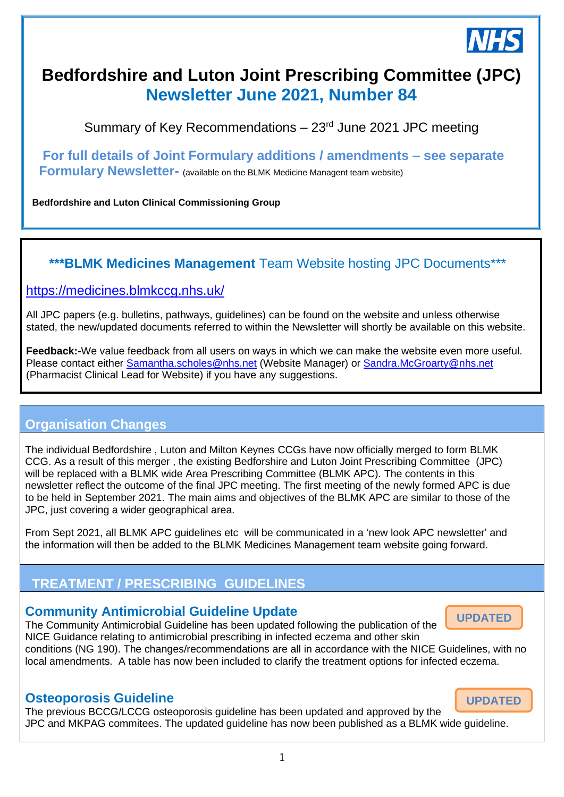

# **Bedfordshire and Luton Joint Prescribing Committee (JPC) Newsletter June 2021, Number 84**

Summary of Key Recommendations  $-23$ <sup>rd</sup> June 2021 JPC meeting

**For full details of Joint Formulary additions / amendments – see separate Formulary Newsletter-** (available on the BLMK Medicine Managent team website)

**Bedfordshire and Luton Clinical Commissioning Group**

### **\*\*\*BLMK Medicines Management** Team Website hosting JPC Documents\*\*\*

#### <https://medicines.blmkccg.nhs.uk/> *28th November 2018*

All JPC papers (e.g. bulletins, pathways, guidelines) can be found on the website and unless otherwise stated, the new/updated documents referred to within the Newsletter will shortly be available on this website.

**Feedback:-**We value feedback from all users on ways in which we can make the website even more useful. Please contact either [Samantha.scholes@nhs.net](mailto:Samantha.scholes@nhs.net) (Website Manager) or [Sandra.McGroarty@nhs.net](mailto:Sandra.McGroarty@nhs.net) (Pharmacist Clinical Lead for Website) if you have any suggestions.

### **Organisation Changes**

The individual Bedfordshire , Luton and Milton Keynes CCGs have now officially merged to form BLMK CCG. As a result of this merger , the existing Bedforshire and Luton Joint Prescribing Committee (JPC) will be replaced with a BLMK wide Area Prescribing Committee (BLMK APC). The contents in this newsletter reflect the outcome of the final JPC meeting. The first meeting of the newly formed APC is due to be held in September 2021. The main aims and objectives of the BLMK APC are similar to those of the JPC, just covering a wider geographical area.

From Sept 2021, all BLMK APC guidelines etc will be communicated in a 'new look APC newsletter' and the information will then be added to the BLMK Medicines Management team website going forward.

## **TREATMENT / PRESCRIBING GUIDELINES**

### **Community Antimicrobial Guideline Update**

The Community Antimicrobial Guideline has been updated following the publication of the NICE Guidance relating to antimicrobial prescribing in infected eczema and other skin

**UPDATED**

conditions (NG 190). The changes/recommendations are all in accordance with the NICE Guidelines, with no local amendments. A table has now been included to clarify the treatment options for infected eczema.

### **Osteoporosis Guideline**

The previous BCCG/LCCG osteoporosis guideline has been updated and approved by the JPC and MKPAG commitees. The updated guideline has now been published as a BLMK wide guideline.

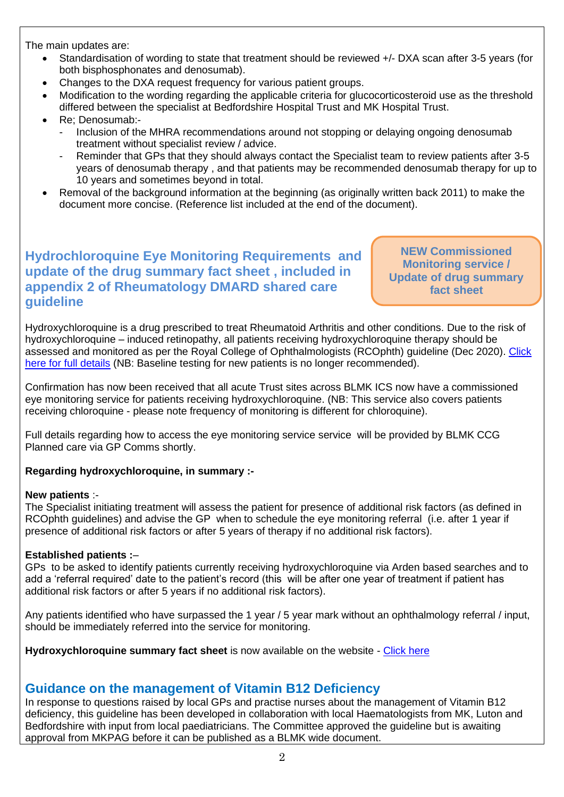The main updates are:

- Standardisation of wording to state that treatment should be reviewed +/- DXA scan after 3-5 years (for both bisphosphonates and denosumab).
- Changes to the DXA request frequency for various patient groups.
- Modification to the wording regarding the applicable criteria for glucocorticosteroid use as the threshold differed between the specialist at Bedfordshire Hospital Trust and MK Hospital Trust.
- Re; Denosumab:-
	- Inclusion of the MHRA recommendations around not stopping or delaying ongoing denosumab treatment without specialist review / advice.
	- Reminder that GPs that they should always contact the Specialist team to review patients after 3-5 years of denosumab therapy , and that patients may be recommended denosumab therapy for up to 10 years and sometimes beyond in total.
- Removal of the background information at the beginning (as originally written back 2011) to make the document more concise. (Reference list included at the end of the document).

### **Hydrochloroquine Eye Monitoring Requirements and update of the drug summary fact sheet , included in appendix 2 of Rheumatology DMARD shared care guideline**

**NEW Commissioned Monitoring service / Update of drug summary fact sheet** 

Hydroxychloroquine is a drug prescribed to treat Rheumatoid Arthritis and other conditions. Due to the risk of hydroxychloroquine – induced retinopathy, all patients receiving hydroxychloroquine therapy should be assessed and monitored as per the Royal College of Ophthalmologists (RCOphth) guideline (Dec 2020). [Click](https://www.rcophth.ac.uk/2020/12/hydroxychloroquine-and-chloroquine-retinopathy-recommendations-on-monitoring/)  [here for full details](https://www.rcophth.ac.uk/2020/12/hydroxychloroquine-and-chloroquine-retinopathy-recommendations-on-monitoring/) (NB: Baseline testing for new patients is no longer recommended).

Confirmation has now been received that all acute Trust sites across BLMK ICS now have a commissioned eye monitoring service for patients receiving hydroxychloroquine. (NB: This service also covers patients receiving chloroquine - please note frequency of monitoring is different for chloroquine).

Full details regarding how to access the eye monitoring service service will be provided by BLMK CCG Planned care via GP Comms shortly.

#### **Regarding hydroxychloroquine, in summary :-**

#### **New patients** :-

The Specialist initiating treatment will assess the patient for presence of additional risk factors (as defined in RCOphth guidelines) and advise the GP when to schedule the eye monitoring referral (i.e. after 1 year if presence of additional risk factors or after 5 years of therapy if no additional risk factors).

#### **Established patients :**–

GPs to be asked to identify patients currently receiving hydroxychloroquine via Arden based searches and to add a 'referral required' date to the patient's record (this will be after one year of treatment if patient has additional risk factors or after 5 years if no additional risk factors).

Any patients identified who have surpassed the 1 year / 5 year mark without an ophthalmology referral / input, should be immediately referred into the service for monitoring.

**Hydroxychloroquine summary fact sheet** is now available on the website - [Click here](https://medicines.blmkccg.nhs.uk/guideline/hyroxychlororquine-information-for-gps/)

### **Guidance on the management of Vitamin B12 Deficiency**

In response to questions raised by local GPs and practise nurses about the management of Vitamin B12 deficiency, this guideline has been developed in collaboration with local Haematologists from MK, Luton and Bedfordshire with input from local paediatricians. The Committee approved the guideline but is awaiting approval from MKPAG before it can be published as a BLMK wide document.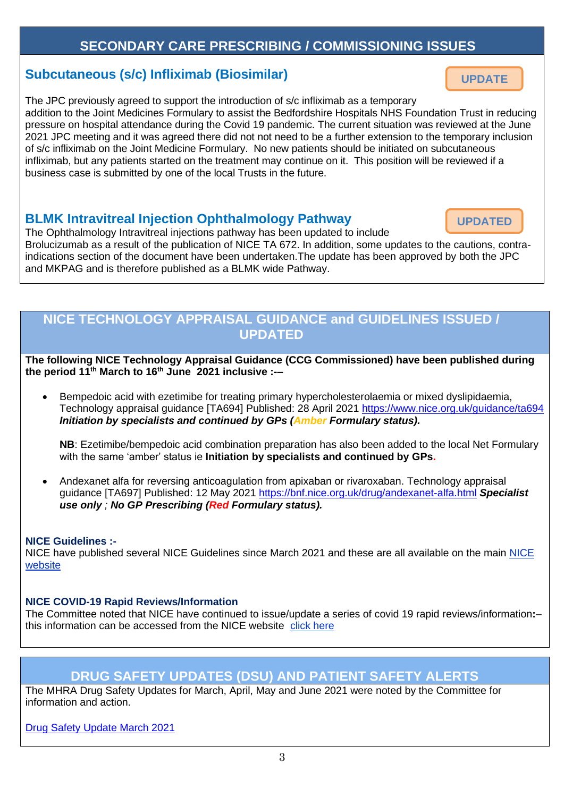### **SECONDARY CARE PRESCRIBING / COMMISSIONING ISSUES**

### **Subcutaneous (s/c) Infliximab (Biosimilar)**

The JPC previously agreed to support the introduction of s/c infliximab as a temporary addition to the Joint Medicines Formulary to assist the Bedfordshire Hospitals NHS Foundation Trust in reducing pressure on hospital attendance during the Covid 19 pandemic. The current situation was reviewed at the June 2021 JPC meeting and it was agreed there did not not need to be a further extension to the temporary inclusion of s/c infliximab on the Joint Medicine Formulary. No new patients should be initiated on subcutaneous infliximab, but any patients started on the treatment may continue on it. This position will be reviewed if a business case is submitted by one of the local Trusts in the future.

### **BLMK Intravitreal Injection Ophthalmology Pathway**

The Ophthalmology Intravitreal injections pathway has been updated to include Brolucizumab as a result of the publication of NICE TA 672. In addition, some updates to the cautions, contraindications section of the document have been undertaken.The update has been approved by both the JPC and MKPAG and is therefore published as a BLMK wide Pathway.

### **NICE TECHNOLOGY APPRAISAL GUIDANCE and GUIDELINES ISSUED / UPDATED**

**The following NICE Technology Appraisal Guidance (CCG Commissioned) have been published during the period 11 th March to 16th June 2021 inclusive :-–**

• Bempedoic acid with ezetimibe for treating primary hypercholesterolaemia or mixed dyslipidaemia, Technology appraisal guidance [TA694] Published: 28 April 2021 <https://www.nice.org.uk/guidance/ta694> *Initiation by specialists and continued by GPs (Amber Formulary status).* 

**NB**: Ezetimibe/bempedoic acid combination preparation has also been added to the local Net Formulary with the same 'amber' status ie **Initiation by specialists and continued by GPs.**

• Andexanet alfa for reversing anticoagulation from apixaban or rivaroxaban. Technology appraisal guidance [TA697] Published: 12 May 2021<https://bnf.nice.org.uk/drug/andexanet-alfa.html> *Specialist use only ; No GP Prescribing (Red Formulary status).*

#### **NICE Guidelines :-**

NICE have published several NICE Guidelines since March 2021 and these are all available on the main [NICE](https://www.nice.org.uk/)  [website](https://www.nice.org.uk/)

#### **NICE COVID-19 Rapid Reviews/Information**

The Committee noted that NICE have continued to issue/update a series of covid 19 rapid reviews/information**:**– this information can be accessed from the NICE website [click here](https://www.nice.org.uk/covid-19)

### **DRUG SAFETY UPDATES (DSU) AND PATIENT SAFETY ALERTS**

3

The MHRA Drug Safety Updates for March, April, May and June 2021 were noted by the Committee for information and action.

[Drug Safety Update March 2021](https://assets.publishing.service.gov.uk/government/uploads/system/uploads/attachment_data/file/972801/Mar-2021-DSU-PDF.pdf)



**UPDATE**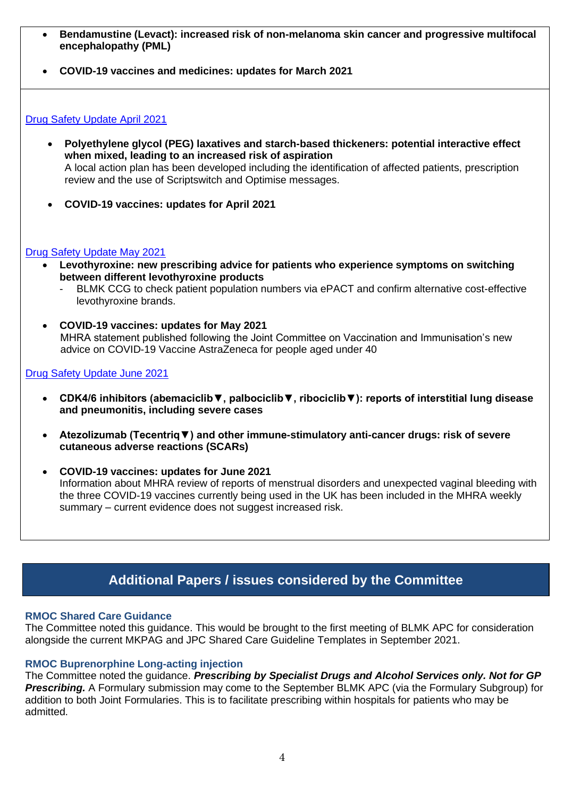- **Bendamustine (Levact): increased risk of non-melanoma skin cancer and progressive multifocal encephalopathy (PML)**
- **COVID-19 vaccines and medicines: updates for March 2021**

#### [Drug Safety Update April 2021](https://assets.publishing.service.gov.uk/government/uploads/system/uploads/attachment_data/file/980773/Apr-2021-DSU-PDF37ce05f35d8febbf6c8e7cc23ad264098f45c3342c9cb11b0e38bcf4beb1a943.pdf)

- **Polyethylene glycol (PEG) laxatives and starch-based thickeners: potential interactive effect when mixed, leading to an increased risk of aspiration**  A local action plan has been developed including the identification of affected patients, prescription review and the use of Scriptswitch and Optimise messages.
- **COVID-19 vaccines: updates for April 2021**

#### [Drug Safety Update May 2021](https://assets.publishing.service.gov.uk/government/uploads/system/uploads/attachment_data/file/987707/May-2021-DSU-PDF.pdf)

- **Levothyroxine: new prescribing advice for patients who experience symptoms on switching between different levothyroxine products**
	- BLMK CCG to check patient population numbers via ePACT and confirm alternative cost-effective levothyroxine brands.
- **COVID-19 vaccines: updates for May 2021** MHRA statement published following the Joint Committee on Vaccination and Immunisation's new advice on COVID-19 Vaccine AstraZeneca for people aged under 40

#### [Drug Safety Update June 2021](https://assets.publishing.service.gov.uk/government/uploads/system/uploads/attachment_data/file/994554/June-2021-DSU-PDF.pdf)

- **CDK4/6 inhibitors (abemaciclib▼, palbociclib▼, ribociclib▼): reports of interstitial lung disease and pneumonitis, including severe cases**
- **Atezolizumab (Tecentriq▼) and other immune-stimulatory anti-cancer drugs: risk of severe cutaneous adverse reactions (SCARs)**
- **COVID-19 vaccines: updates for June 2021** Information about MHRA review of reports of menstrual disorders and unexpected vaginal bleeding with the three COVID-19 vaccines currently being used in the UK has been included in the MHRA weekly summary – current evidence does not suggest increased risk.

### **Additional Papers / issues considered by the Committee**

#### **RMOC Shared Care Guidance**

The Committee noted this guidance. This would be brought to the first meeting of BLMK APC for consideration alongside the current MKPAG and JPC Shared Care Guideline Templates in September 2021.

#### **RMOC Buprenorphine Long-acting injection**

The Committee noted the guidance. *Prescribing by Specialist Drugs and Alcohol Services only. Not for GP Prescribing.* A Formulary submission may come to the September BLMK APC (via the Formulary Subgroup) for addition to both Joint Formularies. This is to facilitate prescribing within hospitals for patients who may be admitted.